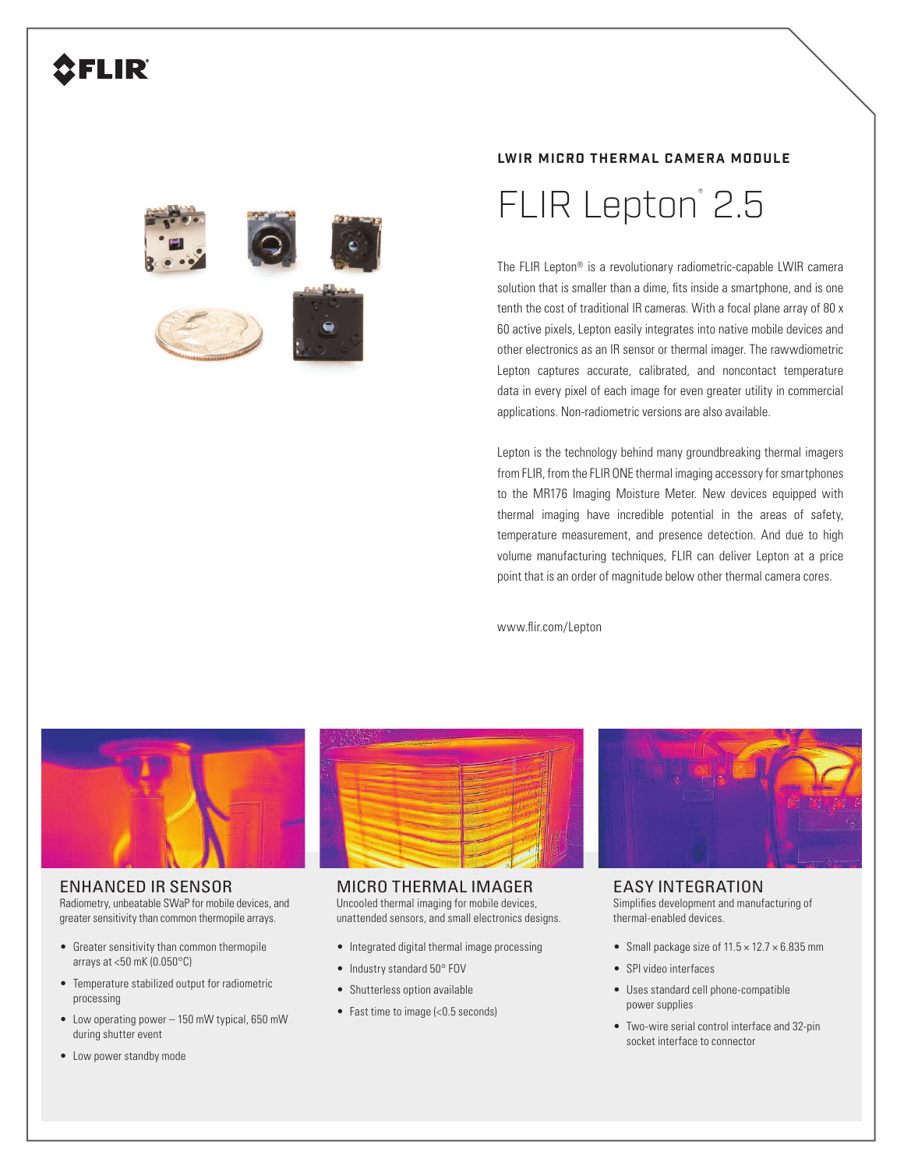## **AFLIR**



#### **LWIR MICRO THERMAL CAMERA MODULE**

# FLIR Lepton<sup>®</sup> 2.5

The FLIR Lepton® is a revolutionary radiometric-capable LWIR camera solution that is smaller than a dime, fits inside a smartphone, and is one tenth the cost of traditional IR cameras. With a focal plane array of 80 x 60 active pixels, Lepton easily integrates into native mobile devices and other electronics as an IR sensor or thermal imager. The rawwdiometric Lepton captures accurate, calibrated, and noncontact temperature data in every pixel of each image for even greater utility in commercial applications. Non-radiometric versions are also available.

Lepton is the technology behind many groundbreaking thermal imagers from FLIR, from the FLIR ONE thermal imaging accessory for smartphones to the MR176 Imaging Moisture Meter. New devices equipped with thermal imaging have incredible potential in the areas of safety, temperature measurement, and presence detection. And due to high volume manufacturing techniques, FLIR can deliver Lepton at a price point that is an order of magnitude below other thermal camera cores.

www.flir.com/Lepton



### ENHANCED IR SENSOR

Radiometry, unbeatable SWaP for mobile devices, and greater sensitivity than common thermopile arrays.

- Greater sensitivity than common thermopile arrays at <50 mK (0.050°C)
- Temperature stabilized output for radiometric processing
- Low operating power 150 mW typical, 650 mW during shutter event
- Low power standby mode



#### MICRO THERMAL IMAGER

Uncooled thermal imaging for mobile devices, unattended sensors, and small electronics designs.

- Integrated digital thermal image processing
- Industry standard 50° FOV
- Shutterless option available
- Fast time to image (<0.5 seconds)



### EASY INTEGRATION

Simplifies development and manufacturing of thermal-enabled devices.

- Small package size of  $11.5 \times 12.7 \times 6.835$  mm
- SPI video interfaces
- Uses standard cell phone-compatible power supplies
- Two-wire serial control interface and 32-pin socket interface to connector